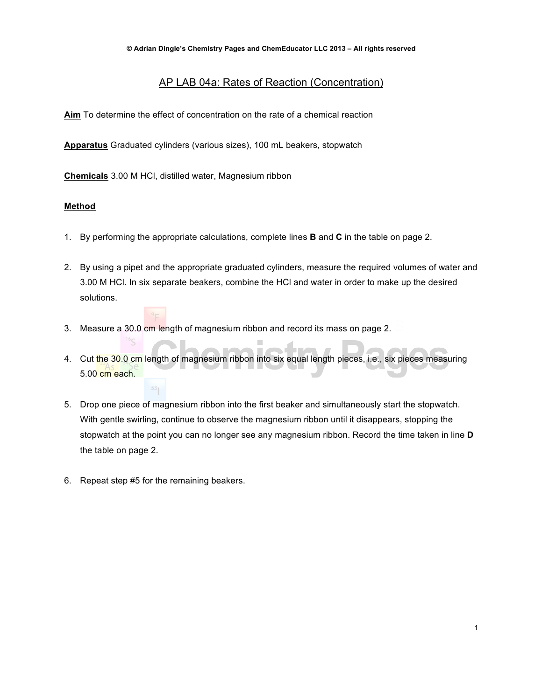# AP LAB 04a: Rates of Reaction (Concentration)

Aim To determine the effect of concentration on the rate of a chemical reaction

**Apparatus** Graduated cylinders (various sizes), 100 mL beakers, stopwatch

**Chemicals** 3.00 M HCl, distilled water, Magnesium ribbon

## **Method**

- 1. By performing the appropriate calculations, complete lines **B** and **C** in the table on page 2.
- 2. By using a pipet and the appropriate graduated cylinders, measure the required volumes of water and 3.00 M HCl. In six separate beakers, combine the HCl and water in order to make up the desired solutions.
- 3. Measure a 30.0 cm length of magnesium ribbon and record its mass on page 2.
- 4. Cut the 30.0 cm length of magnesium ribbon into six equal length pieces, i.e., six pieces measuring 5.00 cm each. ٠

 $\mathcal{L}_{\mathcal{A}}$ 

- 5. Drop one piece of magnesium ribbon into the first beaker and simultaneously start the stopwatch. With gentle swirling, continue to observe the magnesium ribbon until it disappears, stopping the stopwatch at the point you can no longer see any magnesium ribbon. Record the time taken in line **D** the table on page 2.
- 6. Repeat step #5 for the remaining beakers.

 $16<sub>S</sub>$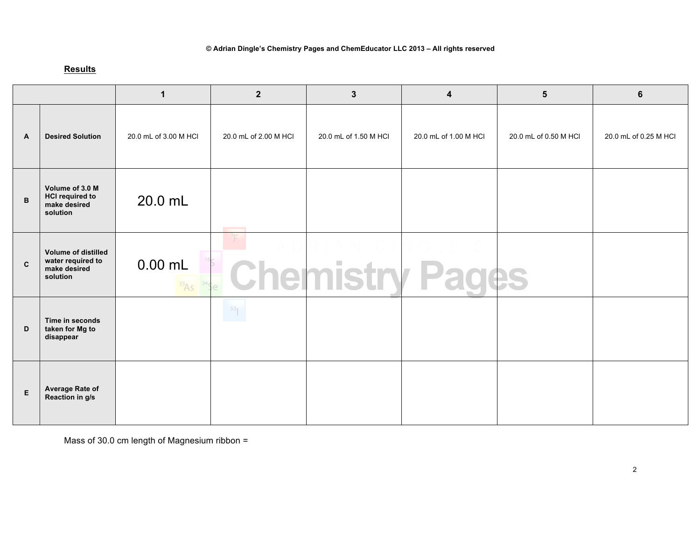### **© Adrian Dingle's Chemistry Pages and ChemEducator LLC 2013 – All rights reserved**

# **Results**

|                |                                                                             | $\mathbf 1$           | $\mathbf{2}$          | $\mathbf{3}$           | $\overline{\mathbf{4}}$ | $5\phantom{1}$        | 6                     |
|----------------|-----------------------------------------------------------------------------|-----------------------|-----------------------|------------------------|-------------------------|-----------------------|-----------------------|
| $\overline{A}$ | <b>Desired Solution</b>                                                     | 20.0 mL of 3.00 M HCl | 20.0 mL of 2.00 M HCI | 20.0 mL of 1.50 M HCl  | 20.0 mL of 1.00 M HCl   | 20.0 mL of 0.50 M HCI | 20.0 mL of 0.25 M HCl |
| B              | Volume of 3.0 M<br><b>HCI required to</b><br>make desired<br>solution       | 20.0 mL               |                       |                        |                         |                       |                       |
| $\mathbf{C}$   | <b>Volume of distilled</b><br>water required to<br>make desired<br>solution | $0.00$ mL<br>33A5     |                       | <b>Chemistry Pages</b> |                         |                       |                       |
| D              | Time in seconds<br>taken for Mg to<br>disappear                             |                       |                       |                        |                         |                       |                       |
| $\mathsf E$    | Average Rate of<br>Reaction in g/s                                          |                       |                       |                        |                         |                       |                       |

Mass of 30.0 cm length of Magnesium ribbon =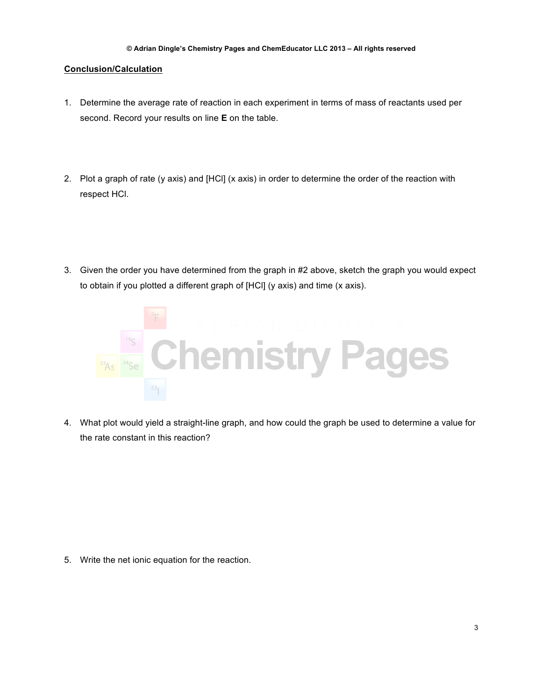### **Conclusion/Calculation**

- 1. Determine the average rate of reaction in each experiment in terms of mass of reactants used per second. Record your results on line **E** on the table.
- 2. Plot a graph of rate (y axis) and [HCl] (x axis) in order to determine the order of the reaction with respect HCl.
- 3. Given the order you have determined from the graph in #2 above, sketch the graph you would expect to obtain if you plotted a different graph of [HCl] (y axis) and time (x axis).



4. What plot would yield a straight-line graph, and how could the graph be used to determine a value for the rate constant in this reaction?

5. Write the net ionic equation for the reaction.